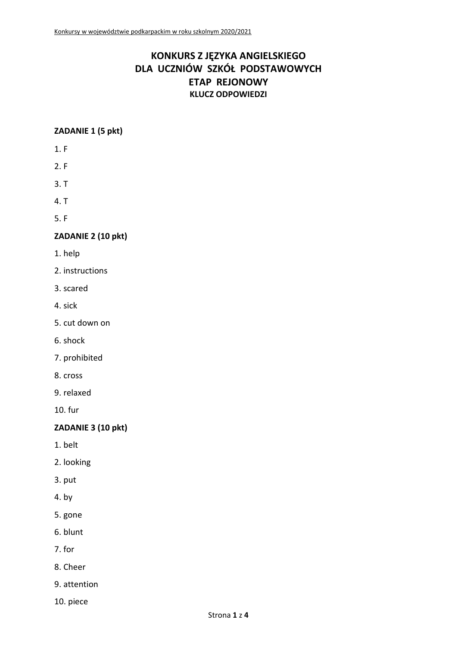# **KONKURS Z JĘZYKA ANGIELSKIEGO DLA UCZNIÓW SZKÓŁ PODSTAWOWYCH ETAP REJONOWY KLUCZ ODPOWIEDZI**

# **ZADANIE 1 (5 pkt)**

- 1. F
- 2. F
- 3. T
- 4. T
- 5. F

# **ZADANIE 2 (10 pkt)**

- 1. help
- 2. instructions
- 3. scared
- 4. sick
- 5. cut down on
- 6. shock
- 7. prohibited
- 8. cross
- 9. relaxed
- 10. fur

# **ZADANIE 3 (10 pkt)**

- 1. belt
- 2. looking
- 3. put
- 4. by
- 5. gone
- 6. blunt
- 7. for
- 8. Cheer
- 9. attention
- 10. piece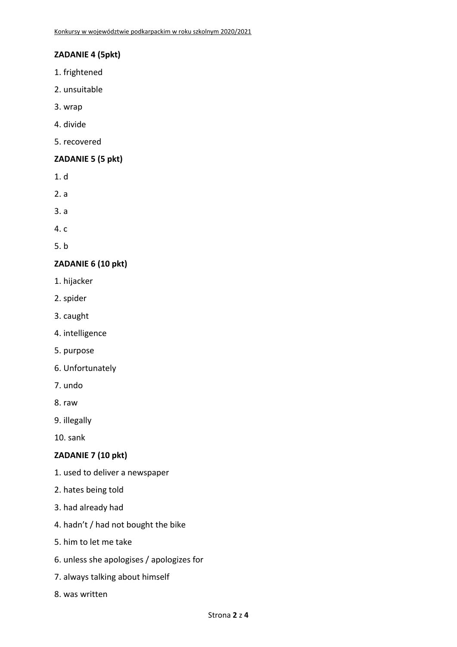# **ZADANIE 4 (5pkt)**

- 1. frightened
- 2. unsuitable
- 3. wrap
- 4. divide
- 5. recovered

## **ZADANIE 5 (5 pkt)**

- 1. d
- 2. a
- 3. a
- 4. c
- 5. b

# **ZADANIE 6 (10 pkt)**

- 1. hijacker
- 2. spider
- 3. caught
- 4. intelligence
- 5. purpose
- 6. Unfortunately
- 7. undo
- 8. raw
- 9. illegally
- 10. sank

#### **ZADANIE 7 (10 pkt)**

- 1. used to deliver a newspaper
- 2. hates being told
- 3. had already had
- 4. hadn't / had not bought the bike
- 5. him to let me take
- 6. unless she apologises / apologizes for
- 7. always talking about himself
- 8. was written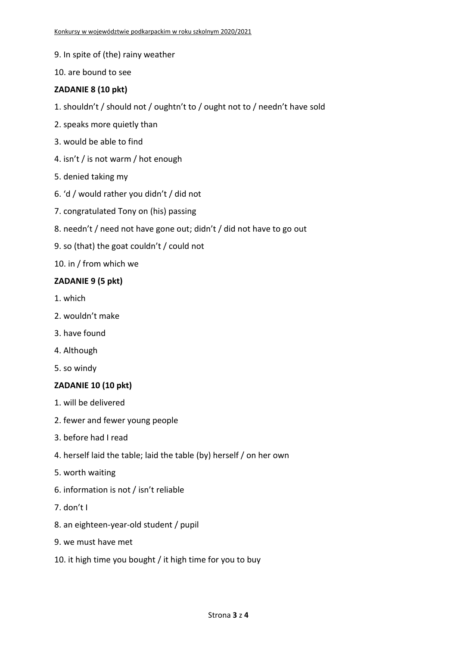- 9. In spite of (the) rainy weather
- 10. are bound to see

## **ZADANIE 8 (10 pkt)**

- 1. shouldn't / should not / oughtn't to / ought not to / needn't have sold
- 2. speaks more quietly than
- 3. would be able to find
- 4. isn't / is not warm / hot enough
- 5. denied taking my
- 6. 'd / would rather you didn't / did not
- 7. congratulated Tony on (his) passing
- 8. needn't / need not have gone out; didn't / did not have to go out
- 9. so (that) the goat couldn't / could not

10. in / from which we

#### **ZADANIE 9 (5 pkt)**

- 1. which
- 2. wouldn't make
- 3. have found
- 4. Although
- 5. so windy

#### **ZADANIE 10 (10 pkt)**

- 1. will be delivered
- 2. fewer and fewer young people
- 3. before had I read
- 4. herself laid the table; laid the table (by) herself / on her own
- 5. worth waiting
- 6. information is not / isn't reliable
- 7. don't I
- 8. an eighteen-year-old student / pupil
- 9. we must have met
- 10. it high time you bought / it high time for you to buy